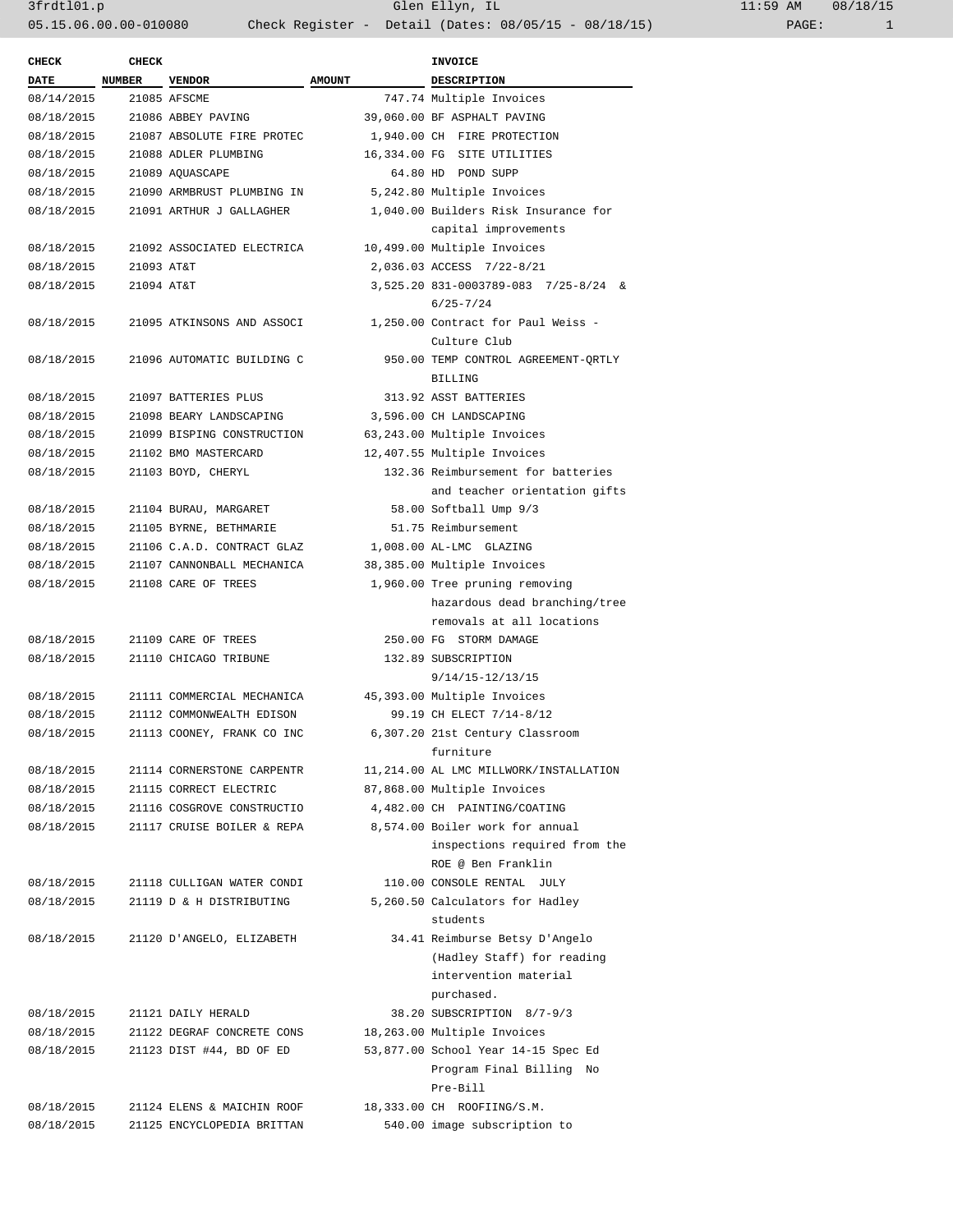| <b>CHECK</b> | CHECK         |                            |               | <b>INVOICE</b>                                          |
|--------------|---------------|----------------------------|---------------|---------------------------------------------------------|
| <b>DATE</b>  | <b>NUMBER</b> | <b>VENDOR</b>              | <b>AMOUNT</b> | DESCRIPTION                                             |
| 08/14/2015   |               | 21085 AFSCME               |               | 747.74 Multiple Invoices                                |
| 08/18/2015   |               | 21086 ABBEY PAVING         |               | 39,060.00 BF ASPHALT PAVING                             |
| 08/18/2015   |               | 21087 ABSOLUTE FIRE PROTEC |               | 1,940.00 CH FIRE PROTECTION                             |
| 08/18/2015   |               | 21088 ADLER PLUMBING       |               | 16,334.00 FG SITE UTILITIES                             |
| 08/18/2015   |               | 21089 AQUASCAPE            |               | 64.80 HD POND SUPP                                      |
| 08/18/2015   |               | 21090 ARMBRUST PLUMBING IN |               | 5,242.80 Multiple Invoices                              |
| 08/18/2015   |               | 21091 ARTHUR J GALLAGHER   |               | 1,040.00 Builders Risk Insurance for                    |
|              |               |                            |               | capital improvements                                    |
| 08/18/2015   |               | 21092 ASSOCIATED ELECTRICA |               | 10,499.00 Multiple Invoices                             |
| 08/18/2015   | 21093 AT&T    |                            |               | 2,036.03 ACCESS 7/22-8/21                               |
| 08/18/2015   | 21094 AT&T    |                            |               | 3,525.20 831-0003789-083 7/25-8/24 &                    |
|              |               |                            |               | $6/25 - 7/24$                                           |
| 08/18/2015   |               | 21095 ATKINSONS AND ASSOCI |               | 1,250.00 Contract for Paul Weiss -                      |
|              |               |                            |               | Culture Club                                            |
| 08/18/2015   |               | 21096 AUTOMATIC BUILDING C |               | 950.00 TEMP CONTROL AGREEMENT-ORTLY                     |
|              |               |                            |               | BILLING                                                 |
| 08/18/2015   |               | 21097 BATTERIES PLUS       |               | 313.92 ASST BATTERIES                                   |
| 08/18/2015   |               | 21098 BEARY LANDSCAPING    |               | 3,596.00 CH LANDSCAPING                                 |
| 08/18/2015   |               | 21099 BISPING CONSTRUCTION |               | 63,243.00 Multiple Invoices                             |
| 08/18/2015   |               | 21102 BMO MASTERCARD       |               | 12,407.55 Multiple Invoices                             |
| 08/18/2015   |               | 21103 BOYD, CHERYL         |               | 132.36 Reimbursement for batteries                      |
|              |               |                            |               | and teacher orientation gifts                           |
| 08/18/2015   |               | 21104 BURAU, MARGARET      |               | 58.00 Softball Ump 9/3                                  |
| 08/18/2015   |               | 21105 BYRNE, BETHMARIE     |               | 51.75 Reimbursement                                     |
| 08/18/2015   |               | 21106 C.A.D. CONTRACT GLAZ |               | 1,008.00 AL-LMC GLAZING                                 |
| 08/18/2015   |               | 21107 CANNONBALL MECHANICA |               | 38,385.00 Multiple Invoices                             |
| 08/18/2015   |               | 21108 CARE OF TREES        |               | 1,960.00 Tree pruning removing                          |
|              |               |                            |               | hazardous dead branching/tree                           |
|              |               |                            |               | removals at all locations                               |
| 08/18/2015   |               | 21109 CARE OF TREES        |               | 250.00 FG STORM DAMAGE                                  |
| 08/18/2015   |               | 21110 CHICAGO TRIBUNE      |               | 132.89 SUBSCRIPTION                                     |
|              |               |                            |               | 9/14/15-12/13/15                                        |
| 08/18/2015   |               | 21111 COMMERCIAL MECHANICA |               |                                                         |
|              |               |                            |               | 45,393.00 Multiple Invoices<br>99.19 CH ELECT 7/14-8/12 |
| 08/18/2015   |               | 21112 COMMONWEALTH EDISON  |               | 6,307.20 21st Century Classroom                         |
| 08/18/2015   |               | 21113 COONEY, FRANK CO INC |               |                                                         |
|              |               |                            |               | furniture                                               |
| 08/18/2015   |               | 21114 CORNERSTONE CARPENTR |               | 11,214.00 AL LMC MILLWORK/INSTALLATION                  |
| 08/18/2015   |               | 21115 CORRECT ELECTRIC     |               | 87,868.00 Multiple Invoices                             |
| 08/18/2015   |               | 21116 COSGROVE CONSTRUCTIO |               | 4,482.00 CH PAINTING/COATING                            |
| 08/18/2015   |               | 21117 CRUISE BOILER & REPA |               | 8,574.00 Boiler work for annual                         |
|              |               |                            |               | inspections required from the                           |
|              |               |                            |               | ROE @ Ben Franklin                                      |
| 08/18/2015   |               | 21118 CULLIGAN WATER CONDI |               | 110.00 CONSOLE RENTAL JULY                              |
| 08/18/2015   |               | 21119 D & H DISTRIBUTING   |               | 5,260.50 Calculators for Hadley<br>students             |
| 08/18/2015   |               | 21120 D'ANGELO, ELIZABETH  |               | 34.41 Reimburse Betsy D'Angelo                          |
|              |               |                            |               | (Hadley Staff) for reading                              |
|              |               |                            |               | intervention material                                   |
|              |               |                            |               | purchased.                                              |
| 08/18/2015   |               | 21121 DAILY HERALD         |               | 38.20 SUBSCRIPTION 8/7-9/3                              |
| 08/18/2015   |               | 21122 DEGRAF CONCRETE CONS |               | 18,263.00 Multiple Invoices                             |
| 08/18/2015   |               | 21123 DIST #44, BD OF ED   |               | 53,877.00 School Year 14-15 Spec Ed                     |
|              |               |                            |               | Program Final Billing No                                |
|              |               |                            |               | Pre-Bill                                                |
| 08/18/2015   |               | 21124 ELENS & MAICHIN ROOF |               | 18,333.00 CH ROOFIING/S.M.                              |
| 08/18/2015   |               | 21125 ENCYCLOPEDIA BRITTAN |               | 540.00 image subscription to                            |
|              |               |                            |               |                                                         |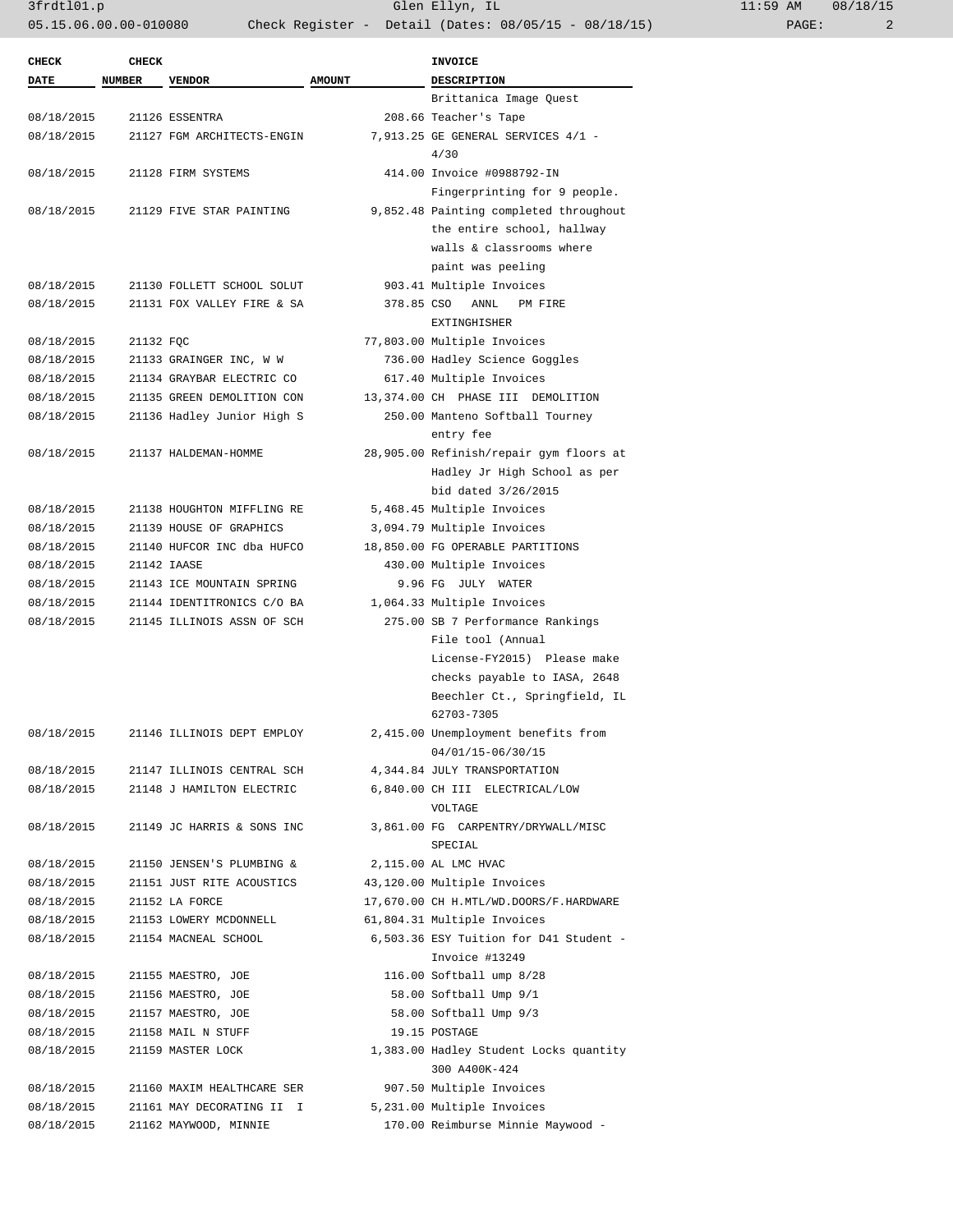3frdtl01.p Glen Ellyn, IL 11:59 AM 08/18/15 05.15.06.00.00-010080 Check Register - Detail (Dates: 08/05/15 - 08/18/15) PAGE: 2

| <b>CHECK</b> | <b>CHECK</b>  |                            |               | <b>INVOICE</b>                          |
|--------------|---------------|----------------------------|---------------|-----------------------------------------|
| <b>DATE</b>  | <b>NUMBER</b> | <b>VENDOR</b>              | <b>AMOUNT</b> | <b>DESCRIPTION</b>                      |
|              |               |                            |               | Brittanica Image Quest                  |
| 08/18/2015   |               | 21126 ESSENTRA             |               | 208.66 Teacher's Tape                   |
| 08/18/2015   |               | 21127 FGM ARCHITECTS-ENGIN |               | 7,913.25 GE GENERAL SERVICES 4/1 -      |
|              |               |                            |               | 4/30                                    |
| 08/18/2015   |               | 21128 FIRM SYSTEMS         |               | 414.00 Invoice #0988792-IN              |
|              |               |                            |               | Fingerprinting for 9 people.            |
| 08/18/2015   |               | 21129 FIVE STAR PAINTING   |               | 9,852.48 Painting completed throughout  |
|              |               |                            |               | the entire school, hallway              |
|              |               |                            |               | walls & classrooms where                |
|              |               |                            |               | paint was peeling                       |
| 08/18/2015   |               | 21130 FOLLETT SCHOOL SOLUT |               | 903.41 Multiple Invoices                |
| 08/18/2015   |               | 21131 FOX VALLEY FIRE & SA | 378.85 CSO    | ANNL<br>PM FIRE                         |
|              |               |                            |               | EXTINGHISHER                            |
| 08/18/2015   | 21132 FQC     |                            |               | 77,803.00 Multiple Invoices             |
|              |               |                            |               |                                         |
| 08/18/2015   |               | 21133 GRAINGER INC, W W    |               | 736.00 Hadley Science Goggles           |
| 08/18/2015   |               | 21134 GRAYBAR ELECTRIC CO  |               | 617.40 Multiple Invoices                |
| 08/18/2015   |               | 21135 GREEN DEMOLITION CON |               | 13,374.00 CH PHASE III DEMOLITION       |
| 08/18/2015   |               | 21136 Hadley Junior High S |               | 250.00 Manteno Softball Tourney         |
|              |               |                            |               | entry fee                               |
| 08/18/2015   |               | 21137 HALDEMAN-HOMME       |               | 28,905.00 Refinish/repair gym floors at |
|              |               |                            |               | Hadley Jr High School as per            |
|              |               |                            |               | bid dated $3/26/2015$                   |
| 08/18/2015   |               | 21138 HOUGHTON MIFFLING RE |               | 5,468.45 Multiple Invoices              |
| 08/18/2015   |               | 21139 HOUSE OF GRAPHICS    |               | 3,094.79 Multiple Invoices              |
| 08/18/2015   |               | 21140 HUFCOR INC dba HUFCO |               | 18,850.00 FG OPERABLE PARTITIONS        |
| 08/18/2015   |               | 21142 IAASE                |               | 430.00 Multiple Invoices                |
| 08/18/2015   |               | 21143 ICE MOUNTAIN SPRING  |               | 9.96 FG JULY WATER                      |
| 08/18/2015   |               | 21144 IDENTITRONICS C/O BA |               | 1,064.33 Multiple Invoices              |
| 08/18/2015   |               | 21145 ILLINOIS ASSN OF SCH |               | 275.00 SB 7 Performance Rankings        |
|              |               |                            |               | File tool (Annual                       |
|              |               |                            |               | License-FY2015) Please make             |
|              |               |                            |               | checks payable to IASA, 2648            |
|              |               |                            |               | Beechler Ct., Springfield, IL           |
|              |               |                            |               | 62703-7305                              |
| 08/18/2015   |               | 21146 ILLINOIS DEPT EMPLOY |               | 2,415.00 Unemployment benefits from     |
|              |               |                            |               | 04/01/15-06/30/15                       |
| 08/18/2015   |               | 21147 ILLINOIS CENTRAL SCH |               | 4,344.84 JULY TRANSPORTATION            |
| 08/18/2015   |               | 21148 J HAMILTON ELECTRIC  |               | 6,840.00 CH III ELECTRICAL/LOW          |
|              |               |                            |               | VOLTAGE                                 |
| 08/18/2015   |               | 21149 JC HARRIS & SONS INC |               | 3,861.00 FG CARPENTRY/DRYWALL/MISC      |
|              |               |                            |               | SPECIAL                                 |
| 08/18/2015   |               | 21150 JENSEN'S PLUMBING &  |               | 2,115.00 AL LMC HVAC                    |
| 08/18/2015   |               | 21151 JUST RITE ACOUSTICS  |               | 43,120.00 Multiple Invoices             |
| 08/18/2015   |               | 21152 LA FORCE             |               | 17,670.00 CH H.MTL/WD.DOORS/F.HARDWARE  |
| 08/18/2015   |               | 21153 LOWERY MCDONNELL     |               | 61,804.31 Multiple Invoices             |
| 08/18/2015   |               | 21154 MACNEAL SCHOOL       |               | 6,503.36 ESY Tuition for D41 Student -  |
|              |               |                            |               | Invoice #13249                          |
| 08/18/2015   |               | 21155 MAESTRO, JOE         |               | 116.00 Softball ump 8/28                |
| 08/18/2015   |               | 21156 MAESTRO, JOE         |               | 58.00 Softball Ump 9/1                  |
| 08/18/2015   |               | 21157 MAESTRO, JOE         |               | 58.00 Softball Ump 9/3                  |
| 08/18/2015   |               | 21158 MAIL N STUFF         |               | 19.15 POSTAGE                           |
| 08/18/2015   |               | 21159 MASTER LOCK          |               | 1,383.00 Hadley Student Locks quantity  |
|              |               |                            |               | 300 A400K-424                           |
| 08/18/2015   |               | 21160 MAXIM HEALTHCARE SER |               | 907.50 Multiple Invoices                |
|              |               | 21161 MAY DECORATING II I  |               | 5,231.00 Multiple Invoices              |
| 08/18/2015   |               |                            |               |                                         |
| 08/18/2015   |               | 21162 MAYWOOD, MINNIE      |               | 170.00 Reimburse Minnie Maywood -       |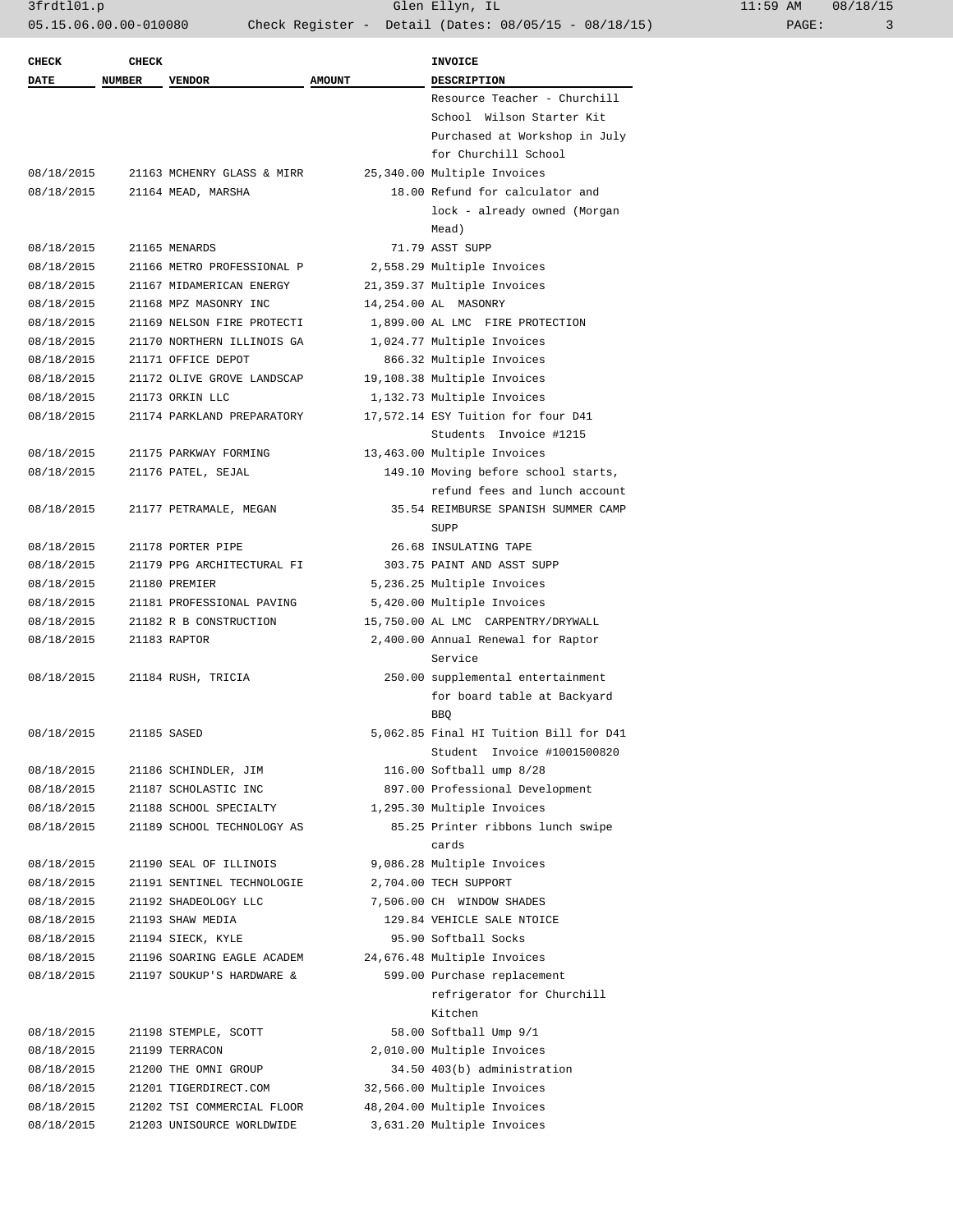| <b>CHECK</b> | <b>CHECK</b>  |                            |               | <b>INVOICE</b>                                                                 |
|--------------|---------------|----------------------------|---------------|--------------------------------------------------------------------------------|
| <b>DATE</b>  | <b>NUMBER</b> | <b>VENDOR</b>              | <b>AMOUNT</b> | <b>DESCRIPTION</b>                                                             |
|              |               |                            |               | Resource Teacher - Churchill                                                   |
|              |               |                            |               | School Wilson Starter Kit                                                      |
|              |               |                            |               | Purchased at Workshop in July                                                  |
|              |               |                            |               | for Churchill School                                                           |
| 08/18/2015   |               | 21163 MCHENRY GLASS & MIRR |               | 25,340.00 Multiple Invoices                                                    |
| 08/18/2015   |               | 21164 MEAD, MARSHA         |               | 18.00 Refund for calculator and                                                |
|              |               |                            |               | lock - already owned (Morgan<br>Mead)                                          |
| 08/18/2015   |               | 21165 MENARDS              |               | 71.79 ASST SUPP                                                                |
| 08/18/2015   |               | 21166 METRO PROFESSIONAL P |               | 2,558.29 Multiple Invoices                                                     |
| 08/18/2015   |               | 21167 MIDAMERICAN ENERGY   |               | 21,359.37 Multiple Invoices                                                    |
| 08/18/2015   |               | 21168 MPZ MASONRY INC      |               | 14,254.00 AL MASONRY                                                           |
| 08/18/2015   |               | 21169 NELSON FIRE PROTECTI |               | 1,899.00 AL LMC FIRE PROTECTION                                                |
| 08/18/2015   |               | 21170 NORTHERN ILLINOIS GA |               | 1,024.77 Multiple Invoices                                                     |
| 08/18/2015   |               | 21171 OFFICE DEPOT         |               | 866.32 Multiple Invoices                                                       |
| 08/18/2015   |               | 21172 OLIVE GROVE LANDSCAP |               | 19,108.38 Multiple Invoices                                                    |
| 08/18/2015   |               | 21173 ORKIN LLC            |               | 1,132.73 Multiple Invoices                                                     |
| 08/18/2015   |               | 21174 PARKLAND PREPARATORY |               | 17,572.14 ESY Tuition for four D41                                             |
|              |               |                            |               | Students Invoice #1215                                                         |
| 08/18/2015   |               | 21175 PARKWAY FORMING      |               | 13,463.00 Multiple Invoices                                                    |
| 08/18/2015   |               | 21176 PATEL, SEJAL         |               | 149.10 Moving before school starts,                                            |
|              |               |                            |               | refund fees and lunch account                                                  |
| 08/18/2015   |               | 21177 PETRAMALE, MEGAN     |               | 35.54 REIMBURSE SPANISH SUMMER CAMP                                            |
|              |               |                            |               | SUPP                                                                           |
| 08/18/2015   |               | 21178 PORTER PIPE          |               | 26.68 INSULATING TAPE                                                          |
| 08/18/2015   |               | 21179 PPG ARCHITECTURAL FI |               | 303.75 PAINT AND ASST SUPP                                                     |
| 08/18/2015   |               | 21180 PREMIER              |               | 5,236.25 Multiple Invoices                                                     |
| 08/18/2015   |               | 21181 PROFESSIONAL PAVING  |               | 5,420.00 Multiple Invoices                                                     |
| 08/18/2015   |               | 21182 R B CONSTRUCTION     |               | 15,750.00 AL LMC CARPENTRY/DRYWALL                                             |
| 08/18/2015   |               | 21183 RAPTOR               |               | 2,400.00 Annual Renewal for Raptor<br>Service                                  |
| 08/18/2015   |               | 21184 RUSH, TRICIA         |               | 250.00 supplemental entertainment<br>for board table at Backyard<br><b>BBQ</b> |
| 08/18/2015   |               | 21185 SASED                |               | 5,062.85 Final HI Tuition Bill for D41<br>Student Invoice #1001500820          |
| 08/18/2015   |               | 21186 SCHINDLER, JIM       |               | 116.00 Softball ump 8/28                                                       |
| 08/18/2015   |               | 21187 SCHOLASTIC INC       |               | 897.00 Professional Development                                                |
| 08/18/2015   |               | 21188 SCHOOL SPECIALTY     |               | 1,295.30 Multiple Invoices                                                     |
| 08/18/2015   |               | 21189 SCHOOL TECHNOLOGY AS |               | 85.25 Printer ribbons lunch swipe<br>cards                                     |
| 08/18/2015   |               | 21190 SEAL OF ILLINOIS     |               | 9,086.28 Multiple Invoices                                                     |
| 08/18/2015   |               | 21191 SENTINEL TECHNOLOGIE |               | 2,704.00 TECH SUPPORT                                                          |
| 08/18/2015   |               | 21192 SHADEOLOGY LLC       |               | 7,506.00 CH WINDOW SHADES                                                      |
| 08/18/2015   |               | 21193 SHAW MEDIA           |               | 129.84 VEHICLE SALE NTOICE                                                     |
| 08/18/2015   |               | 21194 SIECK, KYLE          |               | 95.90 Softball Socks                                                           |
| 08/18/2015   |               | 21196 SOARING EAGLE ACADEM |               | 24,676.48 Multiple Invoices                                                    |
| 08/18/2015   |               | 21197 SOUKUP'S HARDWARE &  |               | 599.00 Purchase replacement                                                    |
|              |               |                            |               | refrigerator for Churchill<br>Kitchen                                          |
| 08/18/2015   |               | 21198 STEMPLE, SCOTT       |               | 58.00 Softball Ump 9/1                                                         |
| 08/18/2015   |               | 21199 TERRACON             |               | 2,010.00 Multiple Invoices                                                     |
| 08/18/2015   |               | 21200 THE OMNI GROUP       |               | 34.50 403(b) administration                                                    |
| 08/18/2015   |               | 21201 TIGERDIRECT.COM      |               | 32,566.00 Multiple Invoices                                                    |
| 08/18/2015   |               | 21202 TSI COMMERCIAL FLOOR |               | 48,204.00 Multiple Invoices                                                    |
| 08/18/2015   |               | 21203 UNISOURCE WORLDWIDE  |               | 3,631.20 Multiple Invoices                                                     |
|              |               |                            |               |                                                                                |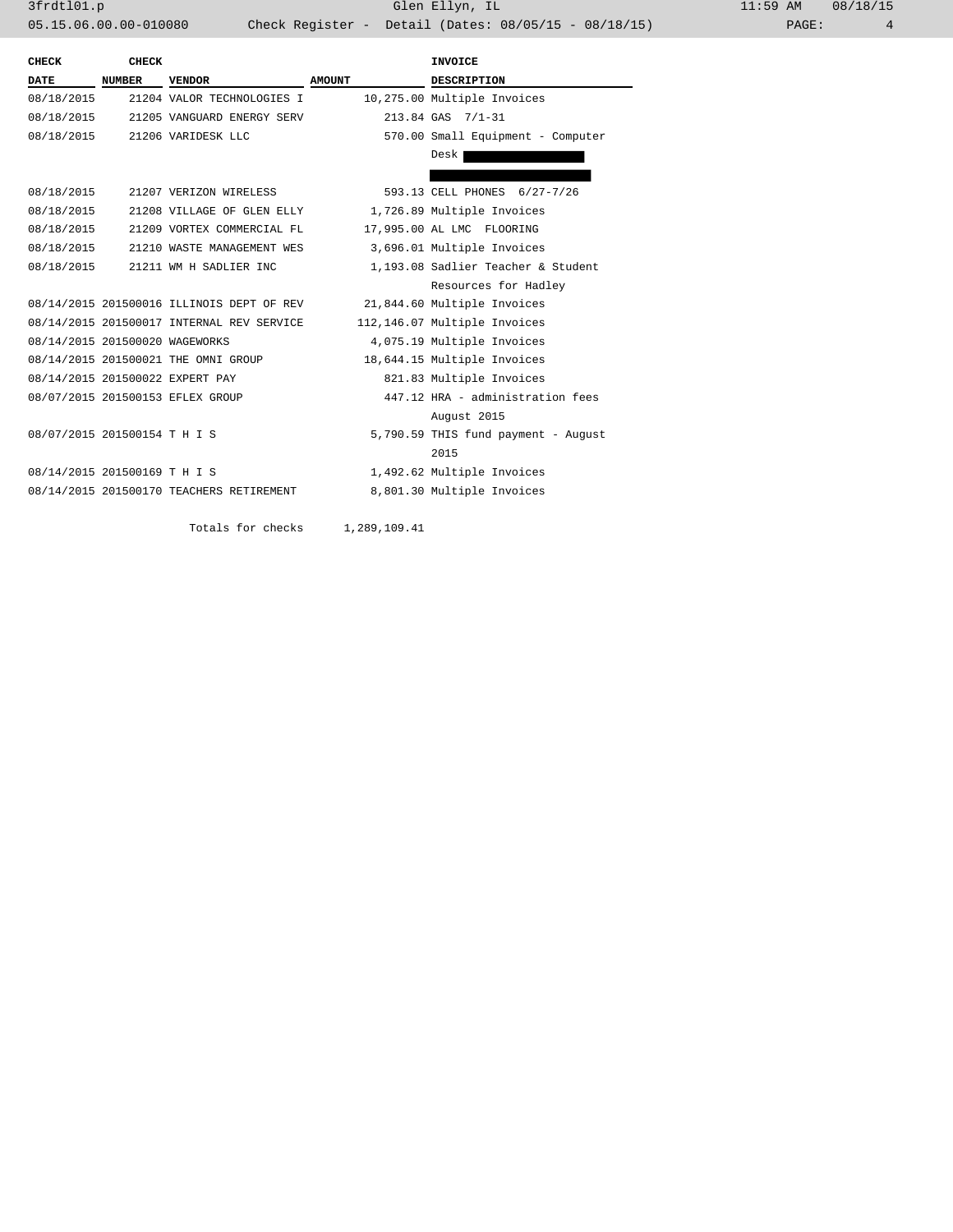| CHECK                          | CHECK         |                                           |               | INVOICE                             |
|--------------------------------|---------------|-------------------------------------------|---------------|-------------------------------------|
| DATE                           | <b>NUMBER</b> | <b>VENDOR</b>                             | <b>AMOUNT</b> | <b>DESCRIPTION</b>                  |
| 08/18/2015                     |               | 21204 VALOR TECHNOLOGIES I                |               | 10,275.00 Multiple Invoices         |
| 08/18/2015                     |               | 21205 VANGUARD ENERGY SERV                |               | 213.84 GAS 7/1-31                   |
|                                |               | 08/18/2015 21206 VARIDESK LLC             |               | 570.00 Small Equipment - Computer   |
|                                |               |                                           |               | Desk                                |
|                                |               |                                           |               |                                     |
| 08/18/2015                     |               | 21207 VERIZON WIRELESS                    |               | 593.13 CELL PHONES 6/27-7/26        |
| 08/18/2015                     |               | 21208 VILLAGE OF GLEN ELLY                |               | 1,726.89 Multiple Invoices          |
| 08/18/2015                     |               | 21209 VORTEX COMMERCIAL FL                |               | 17,995.00 AL LMC FLOORING           |
| 08/18/2015                     |               | 21210 WASTE MANAGEMENT WES                |               | 3,696.01 Multiple Invoices          |
| 08/18/2015                     |               | 21211 WM H SADLIER INC                    |               | 1,193.08 Sadlier Teacher & Student  |
|                                |               |                                           |               | Resources for Hadley                |
|                                |               | 08/14/2015 201500016 ILLINOIS DEPT OF REV |               | 21,844.60 Multiple Invoices         |
|                                |               | 08/14/2015 201500017 INTERNAL REV SERVICE |               | 112,146.07 Multiple Invoices        |
| 08/14/2015 201500020 WAGEWORKS |               |                                           |               | 4,075.19 Multiple Invoices          |
|                                |               | 08/14/2015 201500021 THE OMNI GROUP       |               | 18,644.15 Multiple Invoices         |
|                                |               | 08/14/2015 201500022 EXPERT PAY           |               | 821.83 Multiple Invoices            |
|                                |               | 08/07/2015 201500153 EFLEX GROUP          |               | 447.12 HRA - administration fees    |
|                                |               |                                           |               | August 2015                         |
| 08/07/2015 201500154 T H I S   |               |                                           |               | 5,790.59 THIS fund payment - August |
|                                |               |                                           |               | 2015                                |
| 08/14/2015 201500169 T H I S   |               |                                           |               | 1,492.62 Multiple Invoices          |
|                                |               | 08/14/2015 201500170 TEACHERS RETIREMENT  |               | 8,801.30 Multiple Invoices          |
|                                |               |                                           |               |                                     |

Totals for checks 1,289,109.41